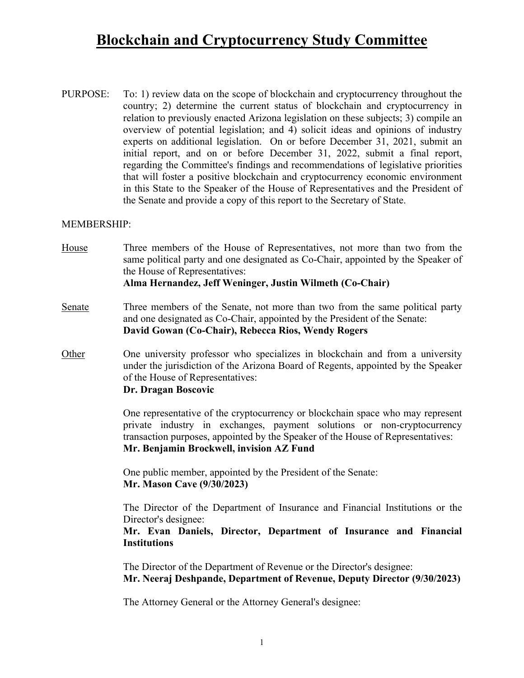## **Blockchain and Cryptocurrency Study Committee**

PURPOSE: To: 1) review data on the scope of blockchain and cryptocurrency throughout the country; 2) determine the current status of blockchain and cryptocurrency in relation to previously enacted Arizona legislation on these subjects; 3) compile an overview of potential legislation; and 4) solicit ideas and opinions of industry experts on additional legislation. On or before December 31, 2021, submit an initial report, and on or before December 31, 2022, submit a final report, regarding the Committee's findings and recommendations of legislative priorities that will foster a positive blockchain and cryptocurrency economic environment in this State to the Speaker of the House of Representatives and the President of the Senate and provide a copy of this report to the Secretary of State.

#### MEMBERSHIP:

- House Three members of the House of Representatives, not more than two from the same political party and one designated as Co-Chair, appointed by the Speaker of the House of Representatives: **Alma Hernandez, Jeff Weninger, Justin Wilmeth (Co-Chair)**
- Senate Three members of the Senate, not more than two from the same political party and one designated as Co-Chair, appointed by the President of the Senate: **David Gowan (Co-Chair), Rebecca Rios, Wendy Rogers**
- Other One university professor who specializes in blockchain and from a university under the jurisdiction of the Arizona Board of Regents, appointed by the Speaker of the House of Representatives:

### **Dr. Dragan Boscovic**

 One representative of the cryptocurrency or blockchain space who may represent private industry in exchanges, payment solutions or non-cryptocurrency transaction purposes, appointed by the Speaker of the House of Representatives: **Mr. Benjamin Brockwell, invision AZ Fund**

 One public member, appointed by the President of the Senate: **Mr. Mason Cave (9/30/2023)**

 The Director of the Department of Insurance and Financial Institutions or the Director's designee:

## **Mr. Evan Daniels, Director, Department of Insurance and Financial Institutions**

 The Director of the Department of Revenue or the Director's designee: **Mr. Neeraj Deshpande, Department of Revenue, Deputy Director (9/30/2023)**

The Attorney General or the Attorney General's designee: